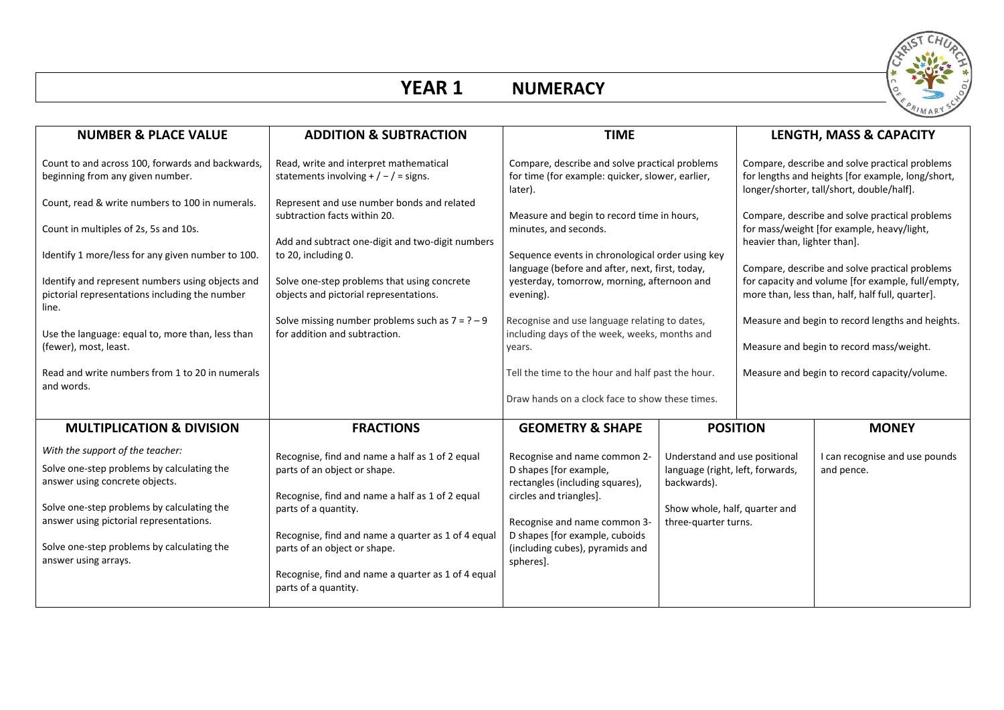

## **YEAR 1**

| <b>NUMERACY</b> |
|-----------------|
|-----------------|

| <b>NUMBER &amp; PLACE VALUE</b>                                                                                                                                                                                                                                                 | <b>ADDITION &amp; SUBTRACTION</b>                                                                                                                                                                                                                                                                                              | <b>TIME</b>                                                                                                                                                                                                                            |                                                                                                                                           | LENGTH, MASS & CAPACITY                                                                                                                          |                                              |  |
|---------------------------------------------------------------------------------------------------------------------------------------------------------------------------------------------------------------------------------------------------------------------------------|--------------------------------------------------------------------------------------------------------------------------------------------------------------------------------------------------------------------------------------------------------------------------------------------------------------------------------|----------------------------------------------------------------------------------------------------------------------------------------------------------------------------------------------------------------------------------------|-------------------------------------------------------------------------------------------------------------------------------------------|--------------------------------------------------------------------------------------------------------------------------------------------------|----------------------------------------------|--|
| Count to and across 100, forwards and backwards,<br>beginning from any given number.<br>Count, read & write numbers to 100 in numerals.                                                                                                                                         | Read, write and interpret mathematical<br>statements involving $+$ / $-$ / = signs.<br>Represent and use number bonds and related                                                                                                                                                                                              | Compare, describe and solve practical problems<br>for time (for example: quicker, slower, earlier,<br>later).                                                                                                                          |                                                                                                                                           | Compare, describe and solve practical problems<br>for lengths and heights [for example, long/short,<br>longer/shorter, tall/short, double/half]. |                                              |  |
| Count in multiples of 2s, 5s and 10s.                                                                                                                                                                                                                                           | subtraction facts within 20.<br>Add and subtract one-digit and two-digit numbers                                                                                                                                                                                                                                               | Measure and begin to record time in hours,<br>minutes, and seconds.                                                                                                                                                                    |                                                                                                                                           | Compare, describe and solve practical problems<br>for mass/weight [for example, heavy/light,<br>heavier than, lighter than].                     |                                              |  |
| Identify 1 more/less for any given number to 100.<br>Identify and represent numbers using objects and                                                                                                                                                                           | to 20, including 0.<br>Solve one-step problems that using concrete                                                                                                                                                                                                                                                             | Sequence events in chronological order using key<br>language (before and after, next, first, today,<br>yesterday, tomorrow, morning, afternoon and                                                                                     |                                                                                                                                           | Compare, describe and solve practical problems<br>for capacity and volume [for example, full/empty,                                              |                                              |  |
| pictorial representations including the number<br>line.                                                                                                                                                                                                                         | objects and pictorial representations.<br>Solve missing number problems such as $7 = ? - 9$                                                                                                                                                                                                                                    | evening).<br>Recognise and use language relating to dates,                                                                                                                                                                             |                                                                                                                                           | more than, less than, half, half full, quarter].<br>Measure and begin to record lengths and heights.                                             |                                              |  |
| Use the language: equal to, more than, less than<br>(fewer), most, least.                                                                                                                                                                                                       | for addition and subtraction.                                                                                                                                                                                                                                                                                                  | including days of the week, weeks, months and<br>years.                                                                                                                                                                                |                                                                                                                                           | Measure and begin to record mass/weight.                                                                                                         |                                              |  |
| Read and write numbers from 1 to 20 in numerals<br>and words.                                                                                                                                                                                                                   |                                                                                                                                                                                                                                                                                                                                | Tell the time to the hour and half past the hour.<br>Draw hands on a clock face to show these times.                                                                                                                                   |                                                                                                                                           | Measure and begin to record capacity/volume.                                                                                                     |                                              |  |
| <b>MULTIPLICATION &amp; DIVISION</b>                                                                                                                                                                                                                                            | <b>FRACTIONS</b>                                                                                                                                                                                                                                                                                                               | <b>GEOMETRY &amp; SHAPE</b>                                                                                                                                                                                                            |                                                                                                                                           | <b>POSITION</b>                                                                                                                                  | <b>MONEY</b>                                 |  |
| With the support of the teacher:<br>Solve one-step problems by calculating the<br>answer using concrete objects.<br>Solve one-step problems by calculating the<br>answer using pictorial representations.<br>Solve one-step problems by calculating the<br>answer using arrays. | Recognise, find and name a half as 1 of 2 equal<br>parts of an object or shape.<br>Recognise, find and name a half as 1 of 2 equal<br>parts of a quantity.<br>Recognise, find and name a quarter as 1 of 4 equal<br>parts of an object or shape.<br>Recognise, find and name a quarter as 1 of 4 equal<br>parts of a quantity. | Recognise and name common 2-<br>D shapes [for example,<br>rectangles (including squares),<br>circles and triangles].<br>Recognise and name common 3-<br>D shapes [for example, cuboids<br>(including cubes), pyramids and<br>spheres]. | Understand and use positional<br>language (right, left, forwards,<br>backwards).<br>Show whole, half, quarter and<br>three-quarter turns. |                                                                                                                                                  | I can recognise and use pounds<br>and pence. |  |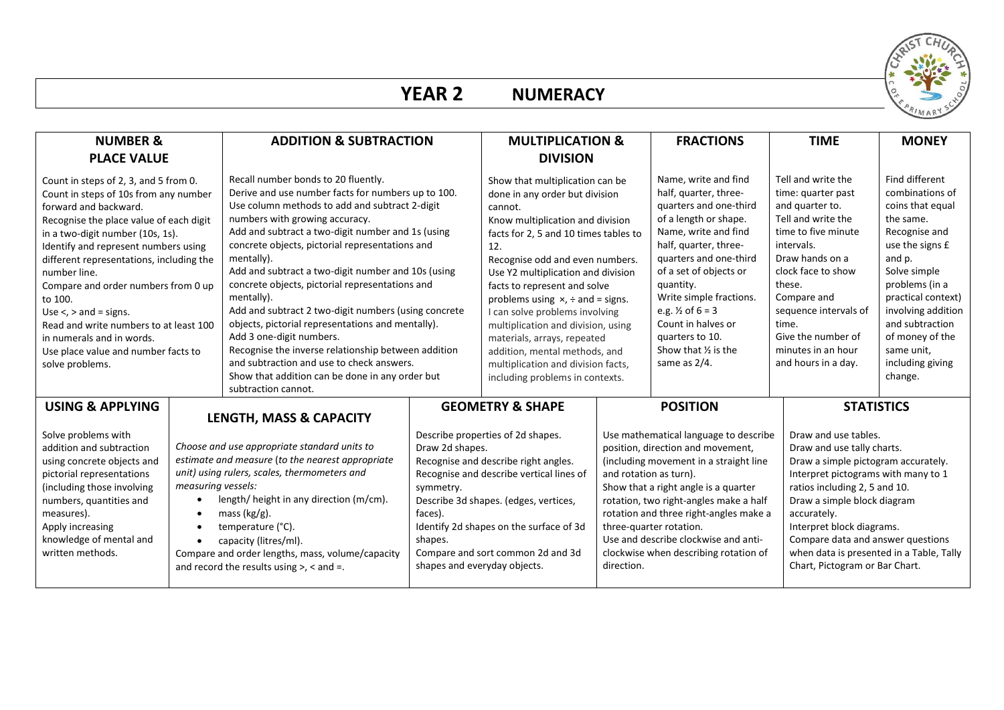

# **YEAR 2 NUMERACY**

| <b>NUMBER &amp;</b>                                                                                                                                                                                                                                                                                                                                                                                                                                                                                           |                                 | <b>ADDITION &amp; SUBTRACTION</b>                                                                                                                                                                                                                                                                                                                                                                                                                                                                                                                                                                                                                                                                                                                 |                                                                                                                                                                                                                                                                                                                                                                                                                                                                                                                                        | <b>MULTIPLICATION &amp;</b>                                                                                                                                                                                                                                  |                                                                                                                                                                                                                                                                                                                                                                         | <b>FRACTIONS</b>                                                                                                                                                                                                                                                                                                                                                                       | <b>TIME</b>                                                                                                                                                                                                                                                                                                                                                     | <b>MONEY</b>                                                                                                                                                                                                                                                                      |
|---------------------------------------------------------------------------------------------------------------------------------------------------------------------------------------------------------------------------------------------------------------------------------------------------------------------------------------------------------------------------------------------------------------------------------------------------------------------------------------------------------------|---------------------------------|---------------------------------------------------------------------------------------------------------------------------------------------------------------------------------------------------------------------------------------------------------------------------------------------------------------------------------------------------------------------------------------------------------------------------------------------------------------------------------------------------------------------------------------------------------------------------------------------------------------------------------------------------------------------------------------------------------------------------------------------------|----------------------------------------------------------------------------------------------------------------------------------------------------------------------------------------------------------------------------------------------------------------------------------------------------------------------------------------------------------------------------------------------------------------------------------------------------------------------------------------------------------------------------------------|--------------------------------------------------------------------------------------------------------------------------------------------------------------------------------------------------------------------------------------------------------------|-------------------------------------------------------------------------------------------------------------------------------------------------------------------------------------------------------------------------------------------------------------------------------------------------------------------------------------------------------------------------|----------------------------------------------------------------------------------------------------------------------------------------------------------------------------------------------------------------------------------------------------------------------------------------------------------------------------------------------------------------------------------------|-----------------------------------------------------------------------------------------------------------------------------------------------------------------------------------------------------------------------------------------------------------------------------------------------------------------------------------------------------------------|-----------------------------------------------------------------------------------------------------------------------------------------------------------------------------------------------------------------------------------------------------------------------------------|
| <b>PLACE VALUE</b>                                                                                                                                                                                                                                                                                                                                                                                                                                                                                            |                                 |                                                                                                                                                                                                                                                                                                                                                                                                                                                                                                                                                                                                                                                                                                                                                   |                                                                                                                                                                                                                                                                                                                                                                                                                                                                                                                                        | <b>DIVISION</b>                                                                                                                                                                                                                                              |                                                                                                                                                                                                                                                                                                                                                                         |                                                                                                                                                                                                                                                                                                                                                                                        |                                                                                                                                                                                                                                                                                                                                                                 |                                                                                                                                                                                                                                                                                   |
| Count in steps of 2, 3, and 5 from 0.<br>Count in steps of 10s from any number<br>forward and backward.<br>Recognise the place value of each digit<br>in a two-digit number (10s, 1s).<br>Identify and represent numbers using<br>different representations, including the<br>number line.<br>Compare and order numbers from 0 up<br>to 100.<br>Use $\lt$ , $>$ and = signs.<br>Read and write numbers to at least 100<br>in numerals and in words.<br>Use place value and number facts to<br>solve problems. |                                 | Recall number bonds to 20 fluently.<br>Derive and use number facts for numbers up to 100.<br>Use column methods to add and subtract 2-digit<br>numbers with growing accuracy.<br>Add and subtract a two-digit number and 1s (using<br>concrete objects, pictorial representations and<br>mentally).<br>Add and subtract a two-digit number and 10s (using<br>concrete objects, pictorial representations and<br>mentally).<br>Add and subtract 2 two-digit numbers (using concrete<br>objects, pictorial representations and mentally).<br>Add 3 one-digit numbers.<br>Recognise the inverse relationship between addition<br>and subtraction and use to check answers.<br>Show that addition can be done in any order but<br>subtraction cannot. | Show that multiplication can be<br>done in any order but division<br>cannot.<br>Know multiplication and division<br>facts for 2, 5 and 10 times tables to<br>12.<br>Recognise odd and even numbers.<br>Use Y2 multiplication and division<br>facts to represent and solve<br>problems using $x$ , $\div$ and = signs.<br>I can solve problems involving<br>multiplication and division, using<br>materials, arrays, repeated<br>addition, mental methods, and<br>multiplication and division facts,<br>including problems in contexts. |                                                                                                                                                                                                                                                              | Name, write and find<br>half, quarter, three-<br>quarters and one-third<br>of a length or shape.<br>Name, write and find<br>half, quarter, three-<br>quarters and one-third<br>of a set of objects or<br>quantity.<br>Write simple fractions.<br>e.g. $\frac{1}{2}$ of 6 = 3<br>Count in halves or<br>quarters to 10.<br>Show that $\frac{1}{2}$ is the<br>same as 2/4. |                                                                                                                                                                                                                                                                                                                                                                                        | Tell and write the<br>time: quarter past<br>and quarter to.<br>Tell and write the<br>time to five minute<br>intervals.<br>Draw hands on a<br>clock face to show<br>these.<br>Compare and<br>sequence intervals of<br>time.<br>Give the number of<br>minutes in an hour<br>and hours in a day.                                                                   | Find different<br>combinations of<br>coins that equal<br>the same.<br>Recognise and<br>use the signs £<br>and p.<br>Solve simple<br>problems (in a<br>practical context)<br>involving addition<br>and subtraction<br>of money of the<br>same unit,<br>including giving<br>change. |
| <b>USING &amp; APPLYING</b>                                                                                                                                                                                                                                                                                                                                                                                                                                                                                   | LENGTH, MASS & CAPACITY         |                                                                                                                                                                                                                                                                                                                                                                                                                                                                                                                                                                                                                                                                                                                                                   |                                                                                                                                                                                                                                                                                                                                                                                                                                                                                                                                        | <b>GEOMETRY &amp; SHAPE</b>                                                                                                                                                                                                                                  |                                                                                                                                                                                                                                                                                                                                                                         | <b>POSITION</b>                                                                                                                                                                                                                                                                                                                                                                        | <b>STATISTICS</b>                                                                                                                                                                                                                                                                                                                                               |                                                                                                                                                                                                                                                                                   |
| Solve problems with<br>addition and subtraction<br>using concrete objects and<br>pictorial representations<br>(including those involving<br>numbers, quantities and<br>measures).<br>Apply increasing<br>knowledge of mental and<br>written methods.                                                                                                                                                                                                                                                          | measuring vessels:<br>$\bullet$ | Choose and use appropriate standard units to<br>estimate and measure (to the nearest appropriate<br>unit) using rulers, scales, thermometers and<br>length/ height in any direction (m/cm).<br>mass $(kg/g)$ .<br>temperature (°C).<br>capacity (litres/ml).<br>Compare and order lengths, mass, volume/capacity<br>and record the results using $>$ , $<$ and $=$ .                                                                                                                                                                                                                                                                                                                                                                              | Draw 2d shapes.<br>symmetry.<br>faces).<br>shapes.<br>shapes and everyday objects.                                                                                                                                                                                                                                                                                                                                                                                                                                                     | Describe properties of 2d shapes.<br>Recognise and describe right angles.<br>Recognise and describe vertical lines of<br>Describe 3d shapes. (edges, vertices,<br>Identify 2d shapes on the surface of 3d<br>Compare and sort common 2d and 3d<br>direction. |                                                                                                                                                                                                                                                                                                                                                                         | Use mathematical language to describe<br>position, direction and movement,<br>(including movement in a straight line<br>and rotation as turn).<br>Show that a right angle is a quarter<br>rotation, two right-angles make a half<br>rotation and three right-angles make a<br>three-quarter rotation.<br>Use and describe clockwise and anti-<br>clockwise when describing rotation of | Draw and use tables.<br>Draw and use tally charts.<br>Draw a simple pictogram accurately.<br>Interpret pictograms with many to 1<br>ratios including 2, 5 and 10.<br>Draw a simple block diagram<br>accurately.<br>Interpret block diagrams.<br>Compare data and answer questions<br>when data is presented in a Table, Tally<br>Chart, Pictogram or Bar Chart. |                                                                                                                                                                                                                                                                                   |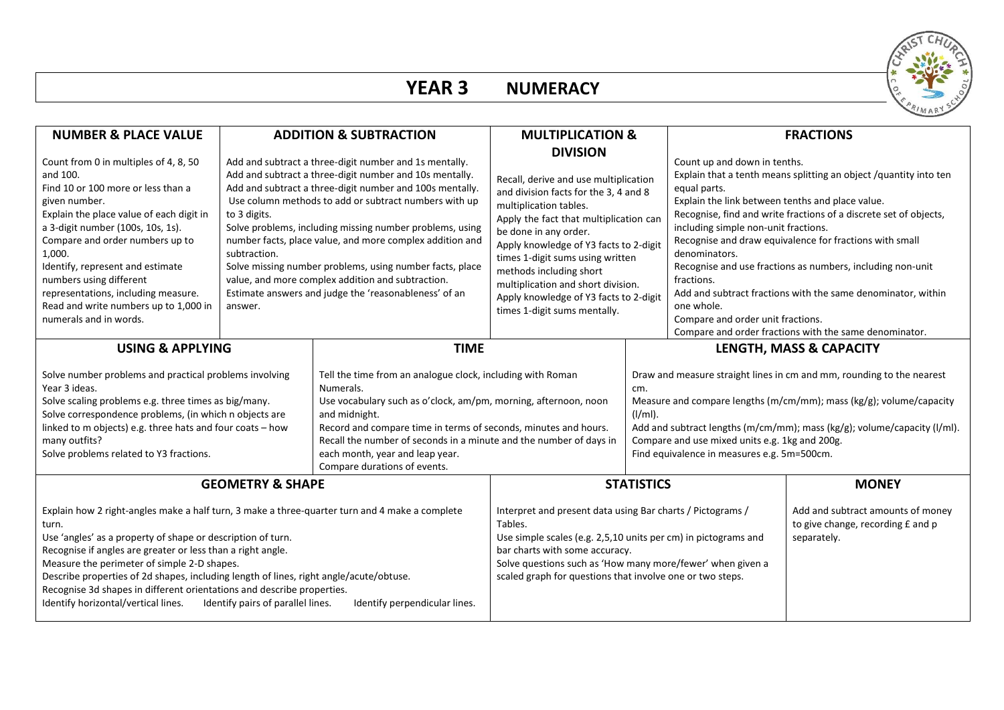

| <b>NUMBER &amp; PLACE VALUE</b>                                                                                                                                                                                                                                                                                                                                                                                                                                                                                                                                       | <b>ADDITION &amp; SUBTRACTION</b>       |                                                                                                                                                                                                                                                                                                                                                                                                                                                                                                                                          | <b>MULTIPLICATION &amp;</b>                                                                                                                                                                                                                                                                                                                                                                                             |                                                                                                                                                                                                                                                                                                                                                |                                                                                                                                                                                                                                                                                                                                                                                                                                                                                                                                                                                                                         | <b>FRACTIONS</b>                                                       |  |
|-----------------------------------------------------------------------------------------------------------------------------------------------------------------------------------------------------------------------------------------------------------------------------------------------------------------------------------------------------------------------------------------------------------------------------------------------------------------------------------------------------------------------------------------------------------------------|-----------------------------------------|------------------------------------------------------------------------------------------------------------------------------------------------------------------------------------------------------------------------------------------------------------------------------------------------------------------------------------------------------------------------------------------------------------------------------------------------------------------------------------------------------------------------------------------|-------------------------------------------------------------------------------------------------------------------------------------------------------------------------------------------------------------------------------------------------------------------------------------------------------------------------------------------------------------------------------------------------------------------------|------------------------------------------------------------------------------------------------------------------------------------------------------------------------------------------------------------------------------------------------------------------------------------------------------------------------------------------------|-------------------------------------------------------------------------------------------------------------------------------------------------------------------------------------------------------------------------------------------------------------------------------------------------------------------------------------------------------------------------------------------------------------------------------------------------------------------------------------------------------------------------------------------------------------------------------------------------------------------------|------------------------------------------------------------------------|--|
| Count from 0 in multiples of 4, 8, 50<br>and 100.<br>Find 10 or 100 more or less than a<br>given number.<br>Explain the place value of each digit in<br>a 3-digit number (100s, 10s, 1s).<br>Compare and order numbers up to<br>1,000.<br>Identify, represent and estimate<br>numbers using different<br>representations, including measure.<br>Read and write numbers up to 1,000 in<br>numerals and in words.                                                                                                                                                       | to 3 digits.<br>subtraction.<br>answer. | Add and subtract a three-digit number and 1s mentally.<br>Add and subtract a three-digit number and 10s mentally.<br>Add and subtract a three-digit number and 100s mentally.<br>Use column methods to add or subtract numbers with up<br>Solve problems, including missing number problems, using<br>number facts, place value, and more complex addition and<br>Solve missing number problems, using number facts, place<br>value, and more complex addition and subtraction.<br>Estimate answers and judge the 'reasonableness' of an | <b>DIVISION</b><br>Recall, derive and use multiplication<br>and division facts for the 3, 4 and 8<br>multiplication tables.<br>Apply the fact that multiplication can<br>be done in any order.<br>Apply knowledge of Y3 facts to 2-digit<br>times 1-digit sums using written<br>methods including short<br>multiplication and short division.<br>Apply knowledge of Y3 facts to 2-digit<br>times 1-digit sums mentally. |                                                                                                                                                                                                                                                                                                                                                | Count up and down in tenths.<br>Explain that a tenth means splitting an object /quantity into ten<br>equal parts.<br>Explain the link between tenths and place value.<br>Recognise, find and write fractions of a discrete set of objects,<br>including simple non-unit fractions.<br>Recognise and draw equivalence for fractions with small<br>denominators.<br>Recognise and use fractions as numbers, including non-unit<br>fractions.<br>Add and subtract fractions with the same denominator, within<br>one whole.<br>Compare and order unit fractions.<br>Compare and order fractions with the same denominator. |                                                                        |  |
| <b>TIME</b><br><b>USING &amp; APPLYING</b>                                                                                                                                                                                                                                                                                                                                                                                                                                                                                                                            |                                         |                                                                                                                                                                                                                                                                                                                                                                                                                                                                                                                                          |                                                                                                                                                                                                                                                                                                                                                                                                                         |                                                                                                                                                                                                                                                                                                                                                | LENGTH, MASS & CAPACITY                                                                                                                                                                                                                                                                                                                                                                                                                                                                                                                                                                                                 |                                                                        |  |
| Solve number problems and practical problems involving<br>Year 3 ideas.<br>Numerals.<br>Solve scaling problems e.g. three times as big/many.<br>Solve correspondence problems, (in which n objects are<br>and midnight.<br>linked to m objects) e.g. three hats and four coats - how<br>many outfits?<br>Solve problems related to Y3 fractions.<br>each month, year and leap year.                                                                                                                                                                                   |                                         | Tell the time from an analogue clock, including with Roman<br>Use vocabulary such as o'clock, am/pm, morning, afternoon, noon<br>Record and compare time in terms of seconds, minutes and hours.<br>Recall the number of seconds in a minute and the number of days in<br>Compare durations of events.                                                                                                                                                                                                                                   |                                                                                                                                                                                                                                                                                                                                                                                                                         | Draw and measure straight lines in cm and mm, rounding to the nearest<br>cm.<br>Measure and compare lengths (m/cm/mm); mass (kg/g); volume/capacity<br>$(I/ml)$ .<br>Add and subtract lengths (m/cm/mm); mass (kg/g); volume/capacity (l/ml).<br>Compare and use mixed units e.g. 1kg and 200g.<br>Find equivalence in measures e.g. 5m=500cm. |                                                                                                                                                                                                                                                                                                                                                                                                                                                                                                                                                                                                                         |                                                                        |  |
|                                                                                                                                                                                                                                                                                                                                                                                                                                                                                                                                                                       | <b>GEOMETRY &amp; SHAPE</b>             |                                                                                                                                                                                                                                                                                                                                                                                                                                                                                                                                          | <b>STATISTICS</b><br><b>MONEY</b>                                                                                                                                                                                                                                                                                                                                                                                       |                                                                                                                                                                                                                                                                                                                                                |                                                                                                                                                                                                                                                                                                                                                                                                                                                                                                                                                                                                                         |                                                                        |  |
| Explain how 2 right-angles make a half turn, 3 make a three-quarter turn and 4 make a complete<br>turn.<br>Use 'angles' as a property of shape or description of turn.<br>Recognise if angles are greater or less than a right angle.<br>Measure the perimeter of simple 2-D shapes.<br>Describe properties of 2d shapes, including length of lines, right angle/acute/obtuse.<br>Recognise 3d shapes in different orientations and describe properties.<br>Identify horizontal/vertical lines.<br>Identify pairs of parallel lines.<br>Identify perpendicular lines. |                                         |                                                                                                                                                                                                                                                                                                                                                                                                                                                                                                                                          | Interpret and present data using Bar charts / Pictograms /<br>Tables.<br>Use simple scales (e.g. 2,5,10 units per cm) in pictograms and<br>separately.<br>bar charts with some accuracy.<br>Solve questions such as 'How many more/fewer' when given a<br>scaled graph for questions that involve one or two steps.                                                                                                     |                                                                                                                                                                                                                                                                                                                                                |                                                                                                                                                                                                                                                                                                                                                                                                                                                                                                                                                                                                                         | Add and subtract amounts of money<br>to give change, recording £ and p |  |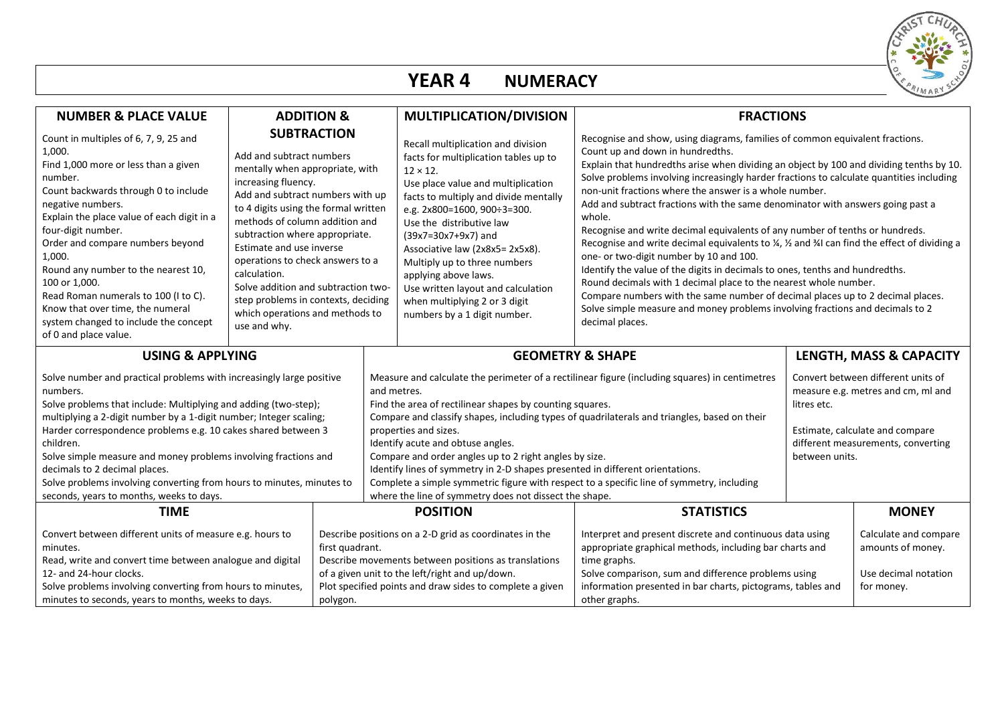

## **YEAR 4 NUMERACY**

| <b>NUMBER &amp; PLACE VALUE</b>                                                                                                                                                                                                                                                                                                                                                                                                                                                         | <b>ADDITION &amp;</b>                                                                                                                                                                                                                                                                                                                                                                                                                                                                                                                                                                                                                                                                                                                                                                                                                                                 |                                                                                                                                                                                                                              | MULTIPLICATION/DIVISION                                                                                                                                                                                                                                                                                                                                                                                                                                           |                                                                                                                                                                                                                                                                                                                                                                                                                                                                                                                                                                                                                                                                                                                                                                                                                                                                                                                                                                                                                                                                                        |                         |  |  |
|-----------------------------------------------------------------------------------------------------------------------------------------------------------------------------------------------------------------------------------------------------------------------------------------------------------------------------------------------------------------------------------------------------------------------------------------------------------------------------------------|-----------------------------------------------------------------------------------------------------------------------------------------------------------------------------------------------------------------------------------------------------------------------------------------------------------------------------------------------------------------------------------------------------------------------------------------------------------------------------------------------------------------------------------------------------------------------------------------------------------------------------------------------------------------------------------------------------------------------------------------------------------------------------------------------------------------------------------------------------------------------|------------------------------------------------------------------------------------------------------------------------------------------------------------------------------------------------------------------------------|-------------------------------------------------------------------------------------------------------------------------------------------------------------------------------------------------------------------------------------------------------------------------------------------------------------------------------------------------------------------------------------------------------------------------------------------------------------------|----------------------------------------------------------------------------------------------------------------------------------------------------------------------------------------------------------------------------------------------------------------------------------------------------------------------------------------------------------------------------------------------------------------------------------------------------------------------------------------------------------------------------------------------------------------------------------------------------------------------------------------------------------------------------------------------------------------------------------------------------------------------------------------------------------------------------------------------------------------------------------------------------------------------------------------------------------------------------------------------------------------------------------------------------------------------------------------|-------------------------|--|--|
| Count in multiples of 6, 7, 9, 25 and<br>1,000.<br>Find 1,000 more or less than a given<br>number.<br>Count backwards through 0 to include<br>negative numbers.<br>Explain the place value of each digit in a<br>four-digit number.<br>Order and compare numbers beyond<br>1,000.<br>Round any number to the nearest 10,<br>100 or 1,000.<br>Read Roman numerals to 100 (I to C).<br>Know that over time, the numeral<br>system changed to include the concept<br>of 0 and place value. | <b>SUBTRACTION</b><br>Add and subtract numbers<br>mentally when appropriate, with<br>increasing fluency.<br>Add and subtract numbers with up<br>to 4 digits using the formal written<br>methods of column addition and<br>subtraction where appropriate.<br>Estimate and use inverse<br>operations to check answers to a<br>calculation.<br>Solve addition and subtraction two-<br>step problems in contexts, deciding<br>which operations and methods to<br>use and why.                                                                                                                                                                                                                                                                                                                                                                                             |                                                                                                                                                                                                                              | Recall multiplication and division<br>facts for multiplication tables up to<br>$12 \times 12$ .<br>Use place value and multiplication<br>facts to multiply and divide mentally<br>e.g. 2x800=1600, 900÷3=300.<br>Use the distributive law<br>(39x7=30x7+9x7) and<br>Associative law (2x8x5=2x5x8).<br>Multiply up to three numbers<br>applying above laws.<br>Use written layout and calculation<br>when multiplying 2 or 3 digit<br>numbers by a 1 digit number. | <b>FRACTIONS</b><br>Recognise and show, using diagrams, families of common equivalent fractions.<br>Count up and down in hundredths.<br>Explain that hundredths arise when dividing an object by 100 and dividing tenths by 10.<br>Solve problems involving increasingly harder fractions to calculate quantities including<br>non-unit fractions where the answer is a whole number.<br>Add and subtract fractions with the same denominator with answers going past a<br>whole.<br>Recognise and write decimal equivalents of any number of tenths or hundreds.<br>Recognise and write decimal equivalents to $\frac{1}{4}$ , $\frac{1}{2}$ and $\frac{1}{4}$ can find the effect of dividing a<br>one- or two-digit number by 10 and 100.<br>Identify the value of the digits in decimals to ones, tenths and hundredths.<br>Round decimals with 1 decimal place to the nearest whole number.<br>Compare numbers with the same number of decimal places up to 2 decimal places.<br>Solve simple measure and money problems involving fractions and decimals to 2<br>decimal places. |                         |  |  |
| <b>USING &amp; APPLYING</b>                                                                                                                                                                                                                                                                                                                                                                                                                                                             |                                                                                                                                                                                                                                                                                                                                                                                                                                                                                                                                                                                                                                                                                                                                                                                                                                                                       |                                                                                                                                                                                                                              |                                                                                                                                                                                                                                                                                                                                                                                                                                                                   | <b>GEOMETRY &amp; SHAPE</b>                                                                                                                                                                                                                                                                                                                                                                                                                                                                                                                                                                                                                                                                                                                                                                                                                                                                                                                                                                                                                                                            | LENGTH, MASS & CAPACITY |  |  |
| numbers.<br>children.<br>decimals to 2 decimal places.<br>seconds, years to months, weeks to days.                                                                                                                                                                                                                                                                                                                                                                                      | Solve number and practical problems with increasingly large positive<br>and metres.<br>Solve problems that include: Multiplying and adding (two-step);<br>Find the area of rectilinear shapes by counting squares.<br>multiplying a 2-digit number by a 1-digit number; Integer scaling;<br>Harder correspondence problems e.g. 10 cakes shared between 3<br>properties and sizes.<br>Identify acute and obtuse angles.<br>Solve simple measure and money problems involving fractions and<br>Compare and order angles up to 2 right angles by size.<br>Identify lines of symmetry in 2-D shapes presented in different orientations.<br>Complete a simple symmetric figure with respect to a specific line of symmetry, including<br>Solve problems involving converting from hours to minutes, minutes to<br>where the line of symmetry does not dissect the shape. |                                                                                                                                                                                                                              | Convert between different units of<br>Measure and calculate the perimeter of a rectilinear figure (including squares) in centimetres<br>measure e.g. metres and cm, ml and<br>litres etc.<br>Compare and classify shapes, including types of quadrilaterals and triangles, based on their<br>Estimate, calculate and compare<br>different measurements, converting<br>between units.                                                                              |                                                                                                                                                                                                                                                                                                                                                                                                                                                                                                                                                                                                                                                                                                                                                                                                                                                                                                                                                                                                                                                                                        |                         |  |  |
| <b>TIME</b>                                                                                                                                                                                                                                                                                                                                                                                                                                                                             |                                                                                                                                                                                                                                                                                                                                                                                                                                                                                                                                                                                                                                                                                                                                                                                                                                                                       | <b>POSITION</b>                                                                                                                                                                                                              | <b>STATISTICS</b>                                                                                                                                                                                                                                                                                                                                                                                                                                                 |                                                                                                                                                                                                                                                                                                                                                                                                                                                                                                                                                                                                                                                                                                                                                                                                                                                                                                                                                                                                                                                                                        | <b>MONEY</b>            |  |  |
| Convert between different units of measure e.g. hours to<br>first quadrant.<br>minutes.<br>Read, write and convert time between analogue and digital<br>12- and 24-hour clocks.<br>Solve problems involving converting from hours to minutes,<br>minutes to seconds, years to months, weeks to days.<br>polygon.                                                                                                                                                                        |                                                                                                                                                                                                                                                                                                                                                                                                                                                                                                                                                                                                                                                                                                                                                                                                                                                                       | Describe positions on a 2-D grid as coordinates in the<br>Describe movements between positions as translations<br>of a given unit to the left/right and up/down.<br>Plot specified points and draw sides to complete a given | Interpret and present discrete and continuous data using<br>appropriate graphical methods, including bar charts and<br>time graphs.<br>Solve comparison, sum and difference problems using<br>information presented in bar charts, pictograms, tables and<br>other graphs.                                                                                                                                                                                        | Calculate and compare<br>amounts of money.<br>Use decimal notation<br>for money.                                                                                                                                                                                                                                                                                                                                                                                                                                                                                                                                                                                                                                                                                                                                                                                                                                                                                                                                                                                                       |                         |  |  |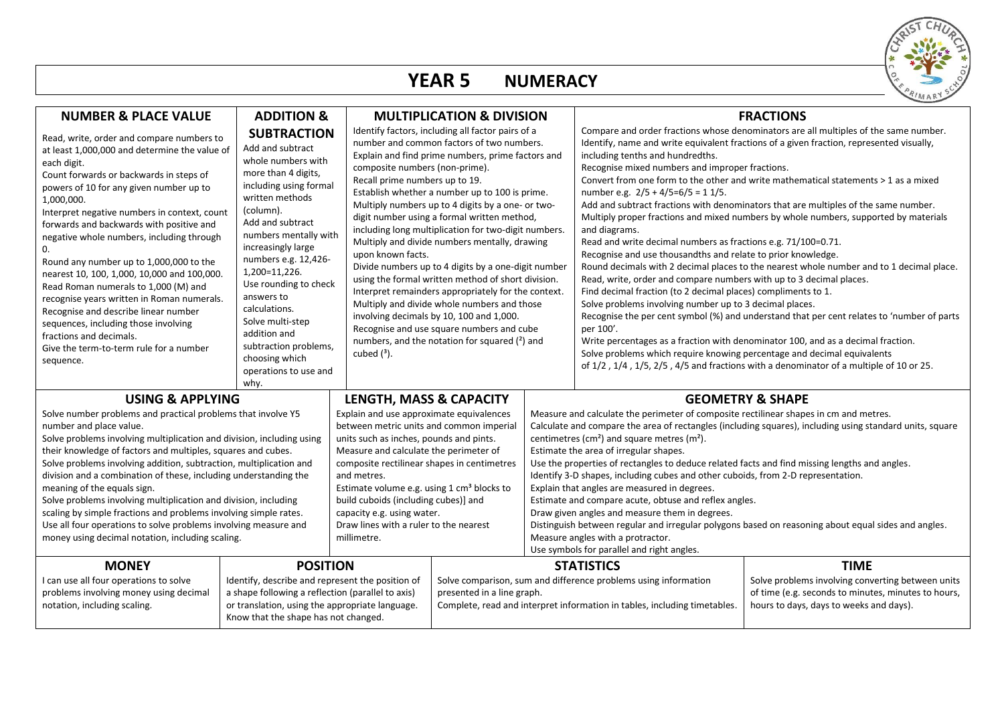

#### **YEAR 5 NUMERACY**

| <b>NUMBER &amp; PLACE VALUE</b>                                                                                                                                                                                                                                                                                                                                                                                                                                                                                                                                                                                                                                                                                         | <b>ADDITION &amp;</b>                                                                                                                                                                                                                                                                                                                                                                                                             |                                                          |                                                                                                                                                                                                                                                                                                                                                                                                                                                                                                                                                                                                                                                                                                                                                                                                                                                                                                                    |  |                                                                                                                                                                                                                                                                                                                                                                                                                                                                                                                                                                                                                                                                                                                                                                                                                                                                                                                                                                                                                                                                                                                                                                                                                                                                                                                                                                                                            | <b>FRACTIONS</b>                                                                                                                                                   |  |
|-------------------------------------------------------------------------------------------------------------------------------------------------------------------------------------------------------------------------------------------------------------------------------------------------------------------------------------------------------------------------------------------------------------------------------------------------------------------------------------------------------------------------------------------------------------------------------------------------------------------------------------------------------------------------------------------------------------------------|-----------------------------------------------------------------------------------------------------------------------------------------------------------------------------------------------------------------------------------------------------------------------------------------------------------------------------------------------------------------------------------------------------------------------------------|----------------------------------------------------------|--------------------------------------------------------------------------------------------------------------------------------------------------------------------------------------------------------------------------------------------------------------------------------------------------------------------------------------------------------------------------------------------------------------------------------------------------------------------------------------------------------------------------------------------------------------------------------------------------------------------------------------------------------------------------------------------------------------------------------------------------------------------------------------------------------------------------------------------------------------------------------------------------------------------|--|------------------------------------------------------------------------------------------------------------------------------------------------------------------------------------------------------------------------------------------------------------------------------------------------------------------------------------------------------------------------------------------------------------------------------------------------------------------------------------------------------------------------------------------------------------------------------------------------------------------------------------------------------------------------------------------------------------------------------------------------------------------------------------------------------------------------------------------------------------------------------------------------------------------------------------------------------------------------------------------------------------------------------------------------------------------------------------------------------------------------------------------------------------------------------------------------------------------------------------------------------------------------------------------------------------------------------------------------------------------------------------------------------------|--------------------------------------------------------------------------------------------------------------------------------------------------------------------|--|
| Read, write, order and compare numbers to<br>at least 1,000,000 and determine the value of<br>each digit.<br>Count forwards or backwards in steps of<br>powers of 10 for any given number up to<br>1,000,000.<br>Interpret negative numbers in context, count<br>forwards and backwards with positive and<br>negative whole numbers, including through<br>$\Omega$ .<br>Round any number up to 1,000,000 to the<br>nearest 10, 100, 1,000, 10,000 and 100,000.<br>Read Roman numerals to 1,000 (M) and<br>recognise years written in Roman numerals.<br>Recognise and describe linear number<br>sequences, including those involving<br>fractions and decimals.<br>Give the term-to-term rule for a number<br>sequence. | <b>SUBTRACTION</b><br>Add and subtract<br>whole numbers with<br>more than 4 digits,<br>including using formal<br>written methods<br>(column).<br>Add and subtract<br>numbers mentally with<br>increasingly large<br>numbers e.g. 12,426-<br>1,200=11,226.<br>Use rounding to check<br>answers to<br>calculations.<br>Solve multi-step<br>addition and<br>subtraction problems,<br>choosing which<br>operations to use and<br>why. | cubed $(^3)$ .                                           | <b>MULTIPLICATION &amp; DIVISION</b><br>Identify factors, including all factor pairs of a<br>number and common factors of two numbers.<br>Explain and find prime numbers, prime factors and<br>composite numbers (non-prime).<br>Recall prime numbers up to 19.<br>Establish whether a number up to 100 is prime.<br>Multiply numbers up to 4 digits by a one- or two-<br>digit number using a formal written method,<br>including long multiplication for two-digit numbers.<br>Multiply and divide numbers mentally, drawing<br>upon known facts.<br>Divide numbers up to 4 digits by a one-digit number<br>using the formal written method of short division.<br>Interpret remainders appropriately for the context.<br>Multiply and divide whole numbers and those<br>involving decimals by 10, 100 and 1,000.<br>Recognise and use square numbers and cube<br>numbers, and the notation for squared $(2)$ and |  | Compare and order fractions whose denominators are all multiples of the same number.<br>Identify, name and write equivalent fractions of a given fraction, represented visually,<br>including tenths and hundredths.<br>Recognise mixed numbers and improper fractions.<br>Convert from one form to the other and write mathematical statements > 1 as a mixed<br>number e.g. $2/5 + 4/5=6/5 = 11/5$ .<br>Add and subtract fractions with denominators that are multiples of the same number.<br>Multiply proper fractions and mixed numbers by whole numbers, supported by materials<br>and diagrams.<br>Read and write decimal numbers as fractions e.g. 71/100=0.71.<br>Recognise and use thousandths and relate to prior knowledge.<br>Round decimals with 2 decimal places to the nearest whole number and to 1 decimal place.<br>Read, write, order and compare numbers with up to 3 decimal places.<br>Find decimal fraction (to 2 decimal places) compliments to 1.<br>Solve problems involving number up to 3 decimal places.<br>Recognise the per cent symbol (%) and understand that per cent relates to 'number of parts<br>per 100'.<br>Write percentages as a fraction with denominator 100, and as a decimal fraction.<br>Solve problems which require knowing percentage and decimal equivalents<br>of 1/2, 1/4, 1/5, 2/5, 4/5 and fractions with a denominator of a multiple of 10 or 25. |                                                                                                                                                                    |  |
| <b>USING &amp; APPLYING</b><br>Solve number problems and practical problems that involve Y5<br>number and place value.<br>Solve problems involving multiplication and division, including using<br>their knowledge of factors and multiples, squares and cubes.<br>Solve problems involving addition, subtraction, multiplication and<br>division and a combination of these, including understanding the<br>meaning of the equals sign.<br>Solve problems involving multiplication and division, including<br>scaling by simple fractions and problems involving simple rates.<br>Use all four operations to solve problems involving measure and<br>money using decimal notation, including scaling.                  |                                                                                                                                                                                                                                                                                                                                                                                                                                   | and metres.<br>capacity e.g. using water.<br>millimetre. | LENGTH, MASS & CAPACITY<br>Explain and use approximate equivalences<br>between metric units and common imperial<br>units such as inches, pounds and pints.<br>Measure and calculate the perimeter of<br>composite rectilinear shapes in centimetres<br>Estimate volume e.g. using 1 cm <sup>3</sup> blocks to<br>build cuboids (including cubes)] and<br>Draw lines with a ruler to the nearest                                                                                                                                                                                                                                                                                                                                                                                                                                                                                                                    |  | <b>GEOMETRY &amp; SHAPE</b><br>Measure and calculate the perimeter of composite rectilinear shapes in cm and metres.<br>Calculate and compare the area of rectangles (including squares), including using standard units, square<br>centimetres ( $cm2$ ) and square metres ( $m2$ ).<br>Estimate the area of irregular shapes.<br>Use the properties of rectangles to deduce related facts and find missing lengths and angles.<br>Identify 3-D shapes, including cubes and other cuboids, from 2-D representation.<br>Explain that angles are measured in degrees.<br>Estimate and compare acute, obtuse and reflex angles.<br>Draw given angles and measure them in degrees.<br>Distinguish between regular and irregular polygons based on reasoning about equal sides and angles.<br>Measure angles with a protractor.<br>Use symbols for parallel and right angles.                                                                                                                                                                                                                                                                                                                                                                                                                                                                                                                                  |                                                                                                                                                                    |  |
| <b>MONEY</b><br>I can use all four operations to solve<br>problems involving money using decimal<br>notation, including scaling.                                                                                                                                                                                                                                                                                                                                                                                                                                                                                                                                                                                        | <b>POSITION</b><br>Identify, describe and represent the position of<br>a shape following a reflection (parallel to axis)<br>or translation, using the appropriate language.<br>Know that the shape has not changed.                                                                                                                                                                                                               |                                                          | Solve comparison, sum and difference problems using information<br>presented in a line graph.                                                                                                                                                                                                                                                                                                                                                                                                                                                                                                                                                                                                                                                                                                                                                                                                                      |  | <b>STATISTICS</b><br>Complete, read and interpret information in tables, including timetables.                                                                                                                                                                                                                                                                                                                                                                                                                                                                                                                                                                                                                                                                                                                                                                                                                                                                                                                                                                                                                                                                                                                                                                                                                                                                                                             | <b>TIME</b><br>Solve problems involving converting between units<br>of time (e.g. seconds to minutes, minutes to hours,<br>hours to days, days to weeks and days). |  |